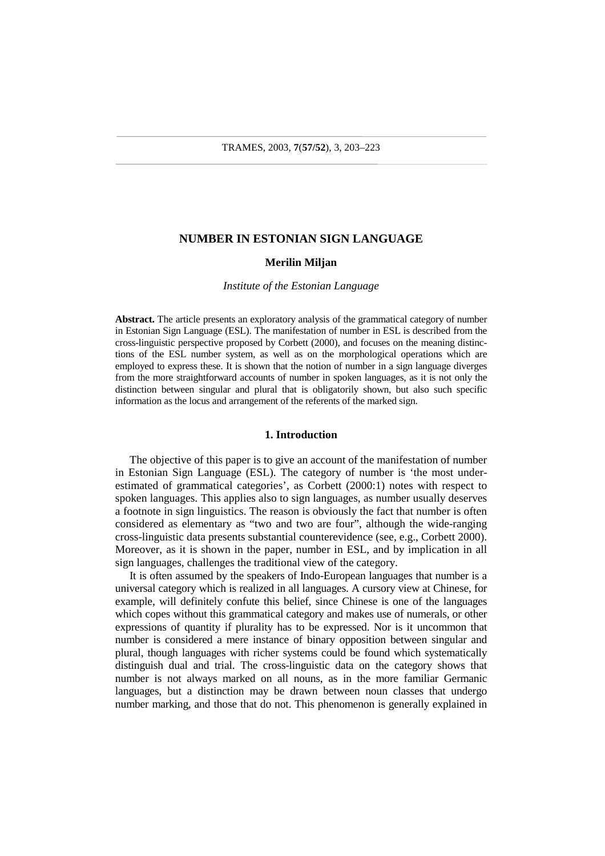# **NUMBER IN ESTONIAN SIGN LANGUAGE**

# **Merilin Miljan**

# *Institute of the Estonian Language*

**Abstract.** The article presents an exploratory analysis of the grammatical category of number in Estonian Sign Language (ESL). The manifestation of number in ESL is described from the cross-linguistic perspective proposed by Corbett (2000), and focuses on the meaning distinctions of the ESL number system, as well as on the morphological operations which are employed to express these. It is shown that the notion of number in a sign language diverges from the more straightforward accounts of number in spoken languages, as it is not only the distinction between singular and plural that is obligatorily shown, but also such specific information as the locus and arrangement of the referents of the marked sign.

### **1. Introduction**

The objective of this paper is to give an account of the manifestation of number in Estonian Sign Language (ESL). The category of number is 'the most underestimated of grammatical categories', as Corbett (2000:1) notes with respect to spoken languages. This applies also to sign languages, as number usually deserves a footnote in sign linguistics. The reason is obviously the fact that number is often considered as elementary as "two and two are four", although the wide-ranging cross-linguistic data presents substantial counterevidence (see, e.g., Corbett 2000). Moreover, as it is shown in the paper, number in ESL, and by implication in all sign languages, challenges the traditional view of the category.

It is often assumed by the speakers of Indo-European languages that number is a universal category which is realized in all languages. A cursory view at Chinese, for example, will definitely confute this belief, since Chinese is one of the languages which copes without this grammatical category and makes use of numerals, or other expressions of quantity if plurality has to be expressed. Nor is it uncommon that number is considered a mere instance of binary opposition between singular and plural, though languages with richer systems could be found which systematically distinguish dual and trial. The cross-linguistic data on the category shows that number is not always marked on all nouns, as in the more familiar Germanic languages, but a distinction may be drawn between noun classes that undergo number marking, and those that do not. This phenomenon is generally explained in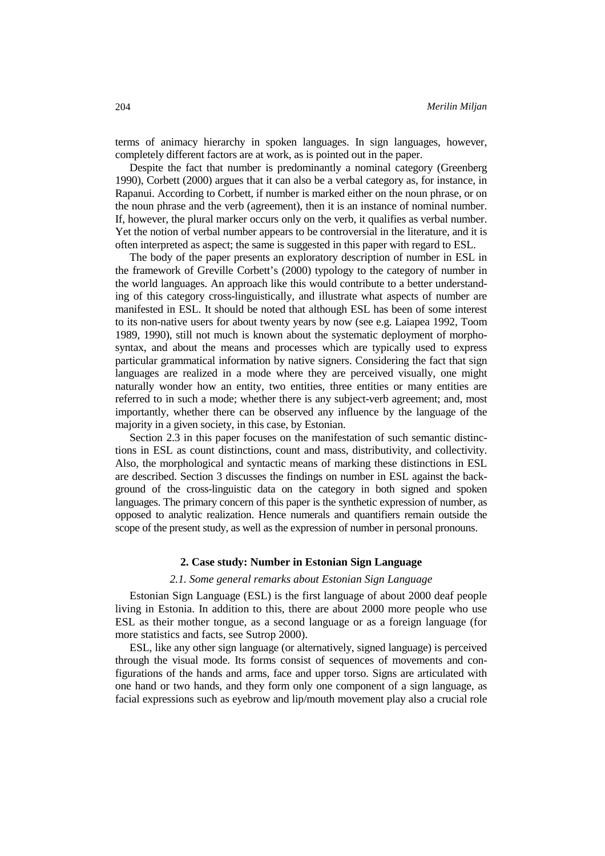terms of animacy hierarchy in spoken languages. In sign languages, however, completely different factors are at work, as is pointed out in the paper.

Despite the fact that number is predominantly a nominal category (Greenberg 1990), Corbett (2000) argues that it can also be a verbal category as, for instance, in Rapanui. According to Corbett, if number is marked either on the noun phrase, or on the noun phrase and the verb (agreement), then it is an instance of nominal number. If, however, the plural marker occurs only on the verb, it qualifies as verbal number. Yet the notion of verbal number appears to be controversial in the literature, and it is often interpreted as aspect; the same is suggested in this paper with regard to ESL.

The body of the paper presents an exploratory description of number in ESL in the framework of Greville Corbett's (2000) typology to the category of number in the world languages. An approach like this would contribute to a better understanding of this category cross-linguistically, and illustrate what aspects of number are manifested in ESL. It should be noted that although ESL has been of some interest to its non-native users for about twenty years by now (see e.g. Laiapea 1992, Toom 1989, 1990), still not much is known about the systematic deployment of morphosyntax, and about the means and processes which are typically used to express particular grammatical information by native signers. Considering the fact that sign languages are realized in a mode where they are perceived visually, one might naturally wonder how an entity, two entities, three entities or many entities are referred to in such a mode; whether there is any subject-verb agreement; and, most importantly, whether there can be observed any influence by the language of the majority in a given society, in this case, by Estonian.

Section 2.3 in this paper focuses on the manifestation of such semantic distinctions in ESL as count distinctions, count and mass, distributivity, and collectivity. Also, the morphological and syntactic means of marking these distinctions in ESL are described. Section 3 discusses the findings on number in ESL against the background of the cross-linguistic data on the category in both signed and spoken languages. The primary concern of this paper is the synthetic expression of number, as opposed to analytic realization. Hence numerals and quantifiers remain outside the scope of the present study, as well as the expression of number in personal pronouns.

# **2. Case study: Number in Estonian Sign Language**

# *2.1. Some general remarks about Estonian Sign Language*

Estonian Sign Language (ESL) is the first language of about 2000 deaf people living in Estonia. In addition to this, there are about 2000 more people who use ESL as their mother tongue, as a second language or as a foreign language (for more statistics and facts, see Sutrop 2000).

ESL, like any other sign language (or alternatively, signed language) is perceived through the visual mode. Its forms consist of sequences of movements and configurations of the hands and arms, face and upper torso. Signs are articulated with one hand or two hands, and they form only one component of a sign language, as facial expressions such as eyebrow and lip/mouth movement play also a crucial role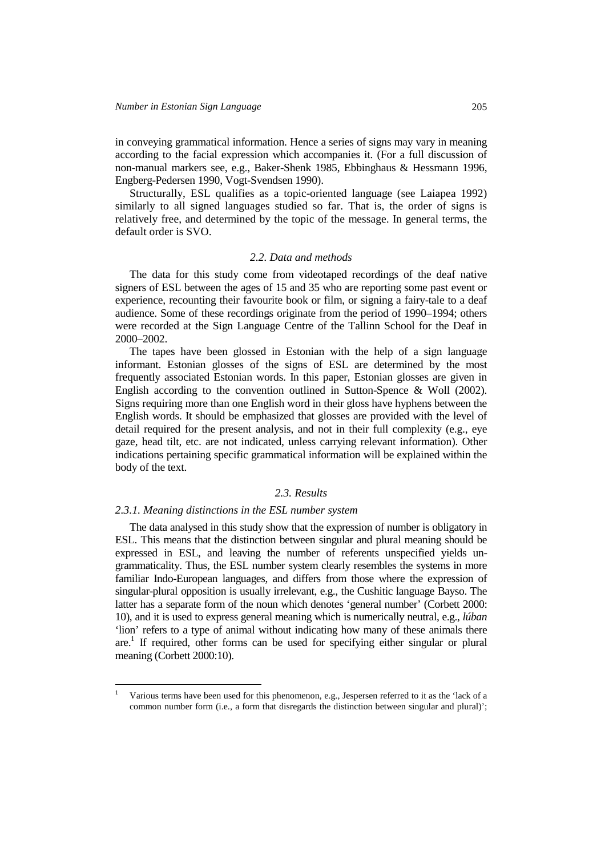in conveying grammatical information. Hence a series of signs may vary in meaning according to the facial expression which accompanies it. (For a full discussion of non-manual markers see, e.g., Baker-Shenk 1985, Ebbinghaus & Hessmann 1996, Engberg-Pedersen 1990, Vogt-Svendsen 1990).

Structurally, ESL qualifies as a topic-oriented language (see Laiapea 1992) similarly to all signed languages studied so far. That is, the order of signs is relatively free, and determined by the topic of the message. In general terms, the default order is SVO.

#### *2.2. Data and methods*

The data for this study come from videotaped recordings of the deaf native signers of ESL between the ages of 15 and 35 who are reporting some past event or experience, recounting their favourite book or film, or signing a fairy-tale to a deaf audience. Some of these recordings originate from the period of 1990–1994; others were recorded at the Sign Language Centre of the Tallinn School for the Deaf in 2000–2002.

The tapes have been glossed in Estonian with the help of a sign language informant. Estonian glosses of the signs of ESL are determined by the most frequently associated Estonian words. In this paper, Estonian glosses are given in English according to the convention outlined in Sutton-Spence & Woll (2002). Signs requiring more than one English word in their gloss have hyphens between the English words. It should be emphasized that glosses are provided with the level of detail required for the present analysis, and not in their full complexity (e.g., eye gaze, head tilt, etc. are not indicated, unless carrying relevant information). Other indications pertaining specific grammatical information will be explained within the body of the text.

# *2.3. Results*

#### *2.3.1. Meaning distinctions in the ESL number system*

l 1

The data analysed in this study show that the expression of number is obligatory in ESL. This means that the distinction between singular and plural meaning should be expressed in ESL, and leaving the number of referents unspecified yields ungrammaticality. Thus, the ESL number system clearly resembles the systems in more familiar Indo-European languages, and differs from those where the expression of singular-plural opposition is usually irrelevant, e.g., the Cushitic language Bayso. The latter has a separate form of the noun which denotes 'general number' (Corbett 2000: 10), and it is used to express general meaning which is numerically neutral, e.g., *lúban* 'lion' refers to a type of animal without indicating how many of these animals there are.<sup>1</sup> If required, other forms can be used for specifying either singular or plural meaning (Corbett 2000:10).

Various terms have been used for this phenomenon, e.g., Jespersen referred to it as the 'lack of a common number form (i.e., a form that disregards the distinction between singular and plural)';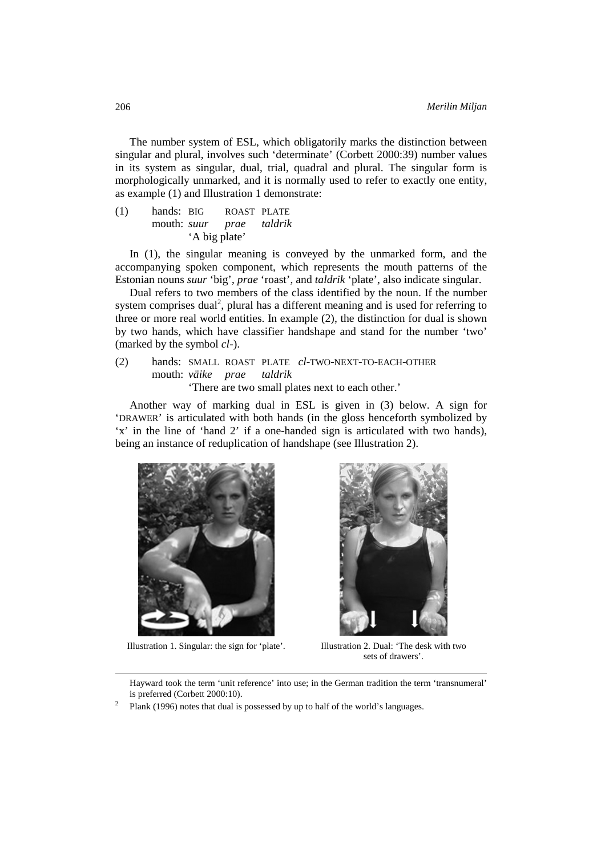The number system of ESL, which obligatorily marks the distinction between singular and plural, involves such 'determinate' (Corbett 2000:39) number values in its system as singular, dual, trial, quadral and plural. The singular form is morphologically unmarked, and it is normally used to refer to exactly one entity, as example (1) and Illustration 1 demonstrate:

| (1) | hands: BIG |                          | ROAST PLATE |  |
|-----|------------|--------------------------|-------------|--|
|     |            | mouth: suur prae taldrik |             |  |
|     |            | 'A big plate'            |             |  |

In (1), the singular meaning is conveyed by the unmarked form, and the accompanying spoken component, which represents the mouth patterns of the Estonian nouns *suur* 'big', *prae* 'roast', and *taldrik* 'plate', also indicate singular.

Dual refers to two members of the class identified by the noun. If the number system comprises dual<sup>2</sup>, plural has a different meaning and is used for referring to three or more real world entities. In example (2), the distinction for dual is shown by two hands, which have classifier handshape and stand for the number 'two' (marked by the symbol *cl-*).

# (2) hands: SMALL ROAST PLATE *cl*-TWO-NEXT-TO-EACH-OTHER mouth: *väike prae taldrik* 'There are two small plates next to each other.'

Another way of marking dual in ESL is given in (3) below. A sign for 'DRAWER' is articulated with both hands (in the gloss henceforth symbolized by 'x' in the line of 'hand 2' if a one-handed sign is articulated with two hands), being an instance of reduplication of handshape (see Illustration 2).





Illustration 1. Singular: the sign for 'plate'. Illustration 2. Dual: 'The desk with two sets of drawers'.

 Hayward took the term 'unit reference' into use; in the German tradition the term 'transnumeral' is preferred (Corbett 2000:10).<br> $\frac{2}{\pi}$  Plank (1006) notes that dual is

Plank (1996) notes that dual is possessed by up to half of the world's languages.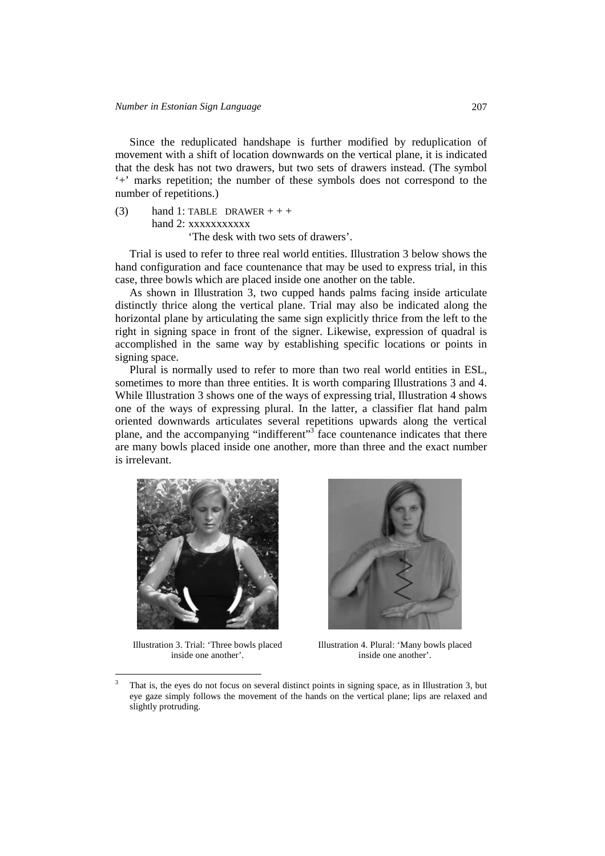Since the reduplicated handshape is further modified by reduplication of movement with a shift of location downwards on the vertical plane, it is indicated that the desk has not two drawers, but two sets of drawers instead. (The symbol '+' marks repetition; the number of these symbols does not correspond to the number of repetitions.)

(3) hand 1: TABLE DRAWER  $++$ hand 2: xxxxxxxxxxx 'The desk with two sets of drawers'.

Trial is used to refer to three real world entities. Illustration 3 below shows the hand configuration and face countenance that may be used to express trial, in this case, three bowls which are placed inside one another on the table.

As shown in Illustration 3, two cupped hands palms facing inside articulate distinctly thrice along the vertical plane. Trial may also be indicated along the horizontal plane by articulating the same sign explicitly thrice from the left to the right in signing space in front of the signer. Likewise, expression of quadral is accomplished in the same way by establishing specific locations or points in signing space.

Plural is normally used to refer to more than two real world entities in ESL, sometimes to more than three entities. It is worth comparing Illustrations 3 and 4. While Illustration 3 shows one of the ways of expressing trial, Illustration 4 shows one of the ways of expressing plural. In the latter, a classifier flat hand palm oriented downwards articulates several repetitions upwards along the vertical plane, and the accompanying "indifferent"<sup>3</sup> face countenance indicates that there are many bowls placed inside one another, more than three and the exact number is irrelevant.



Illustration 3. Trial: 'Three bowls placed inside one another'.

 $\overline{a}$ 



Illustration 4. Plural: 'Many bowls placed inside one another'.

<sup>3</sup> That is, the eyes do not focus on several distinct points in signing space, as in Illustration 3, but eye gaze simply follows the movement of the hands on the vertical plane; lips are relaxed and slightly protruding.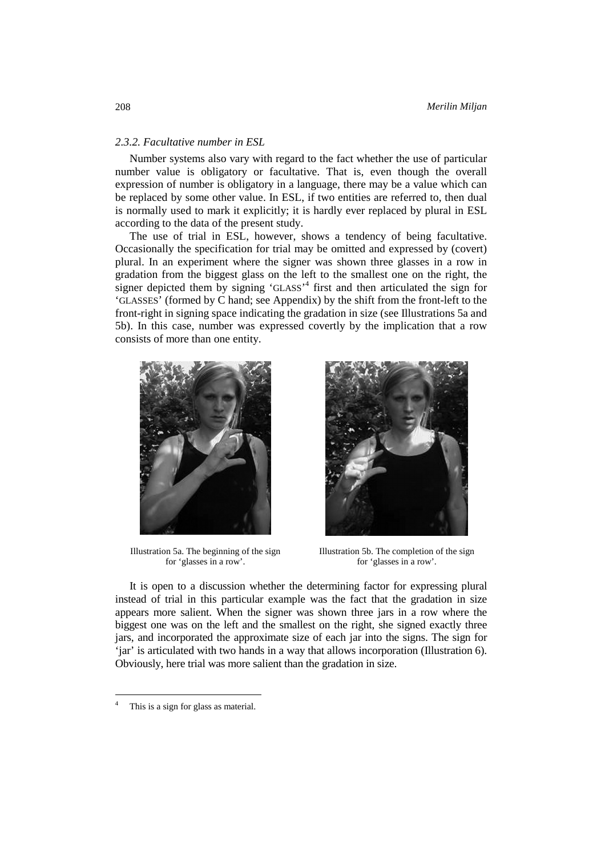# *2.3.2. Facultative number in ESL*

Number systems also vary with regard to the fact whether the use of particular number value is obligatory or facultative. That is, even though the overall expression of number is obligatory in a language, there may be a value which can be replaced by some other value. In ESL, if two entities are referred to, then dual is normally used to mark it explicitly; it is hardly ever replaced by plural in ESL according to the data of the present study.

The use of trial in ESL, however, shows a tendency of being facultative. Occasionally the specification for trial may be omitted and expressed by (covert) plural. In an experiment where the signer was shown three glasses in a row in gradation from the biggest glass on the left to the smallest one on the right, the signer depicted them by signing 'GLASS'<sup>4</sup> first and then articulated the sign for 'GLASSES' (formed by C hand; see Appendix) by the shift from the front-left to the front-right in signing space indicating the gradation in size (see Illustrations 5a and 5b). In this case, number was expressed covertly by the implication that a row consists of more than one entity.



Illustration 5a. The beginning of the sign for 'glasses in a row'.



Illustration 5b. The completion of the sign for 'glasses in a row'.

It is open to a discussion whether the determining factor for expressing plural instead of trial in this particular example was the fact that the gradation in size appears more salient. When the signer was shown three jars in a row where the biggest one was on the left and the smallest on the right, she signed exactly three jars, and incorporated the approximate size of each jar into the signs. The sign for 'jar' is articulated with two hands in a way that allows incorporation (Illustration 6). Obviously, here trial was more salient than the gradation in size.

 $\overline{a}$ 

<sup>4</sup> This is a sign for glass as material.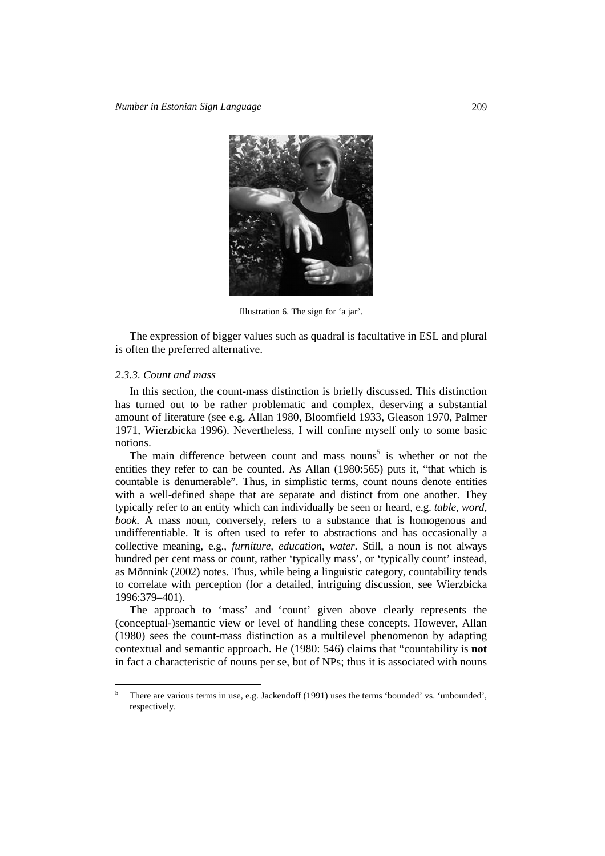

Illustration 6. The sign for 'a jar'.

The expression of bigger values such as quadral is facultative in ESL and plural is often the preferred alternative.

# *2.3.3. Count and mass*

l

In this section, the count-mass distinction is briefly discussed. This distinction has turned out to be rather problematic and complex, deserving a substantial amount of literature (see e.g. Allan 1980, Bloomfield 1933, Gleason 1970, Palmer 1971, Wierzbicka 1996). Nevertheless, I will confine myself only to some basic notions.

The main difference between count and mass nouns<sup>5</sup> is whether or not the entities they refer to can be counted. As Allan (1980:565) puts it, "that which is countable is denumerable". Thus, in simplistic terms, count nouns denote entities with a well-defined shape that are separate and distinct from one another. They typically refer to an entity which can individually be seen or heard, e.g. *table, word, book*. A mass noun, conversely, refers to a substance that is homogenous and undifferentiable. It is often used to refer to abstractions and has occasionally a collective meaning, e.g., *furniture, education, water*. Still, a noun is not always hundred per cent mass or count, rather 'typically mass', or 'typically count' instead, as Mönnink (2002) notes. Thus, while being a linguistic category, countability tends to correlate with perception (for a detailed, intriguing discussion, see Wierzbicka 1996:379–401).

The approach to 'mass' and 'count' given above clearly represents the (conceptual-)semantic view or level of handling these concepts. However, Allan (1980) sees the count-mass distinction as a multilevel phenomenon by adapting contextual and semantic approach. He (1980: 546) claims that "countability is **not** in fact a characteristic of nouns per se, but of NPs; thus it is associated with nouns

<sup>5</sup> There are various terms in use, e.g. Jackendoff (1991) uses the terms 'bounded' vs. 'unbounded', respectively.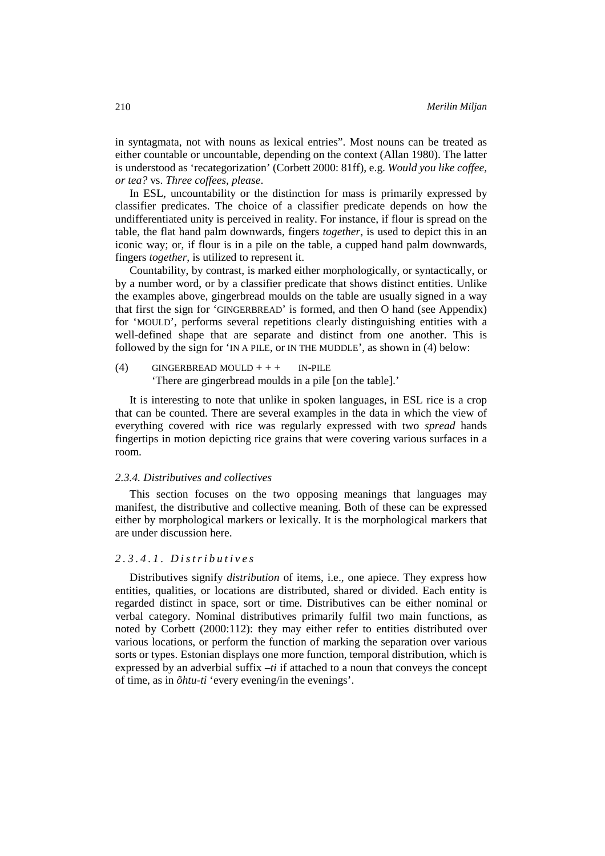in syntagmata, not with nouns as lexical entries". Most nouns can be treated as either countable or uncountable, depending on the context (Allan 1980). The latter is understood as 'recategorization' (Corbett 2000: 81ff), e.g. *Would you like coffee, or tea?* vs. *Three coffees, please*.

In ESL, uncountability or the distinction for mass is primarily expressed by classifier predicates. The choice of a classifier predicate depends on how the undifferentiated unity is perceived in reality. For instance, if flour is spread on the table, the flat hand palm downwards, fingers *together*, is used to depict this in an iconic way; or, if flour is in a pile on the table, a cupped hand palm downwards, fingers *together*, is utilized to represent it.

Countability, by contrast, is marked either morphologically, or syntactically, or by a number word, or by a classifier predicate that shows distinct entities. Unlike the examples above, gingerbread moulds on the table are usually signed in a way that first the sign for 'GINGERBREAD' is formed, and then O hand (see Appendix) for 'MOULD', performs several repetitions clearly distinguishing entities with a well-defined shape that are separate and distinct from one another. This is followed by the sign for 'IN A PILE, or IN THE MUDDLE', as shown in (4) below:

(4) GINGERBREAD MOULD + + + IN-PILE 'There are gingerbread moulds in a pile [on the table].'

It is interesting to note that unlike in spoken languages, in ESL rice is a crop that can be counted. There are several examples in the data in which the view of everything covered with rice was regularly expressed with two *spread* hands fingertips in motion depicting rice grains that were covering various surfaces in a room.

### *2.3.4. Distributives and collectives*

This section focuses on the two opposing meanings that languages may manifest, the distributive and collective meaning. Both of these can be expressed either by morphological markers or lexically. It is the morphological markers that are under discussion here.

# *2.3.4.1. Distributives*

Distributives signify *distribution* of items, i.e., one apiece. They express how entities, qualities, or locations are distributed, shared or divided. Each entity is regarded distinct in space, sort or time. Distributives can be either nominal or verbal category. Nominal distributives primarily fulfil two main functions, as noted by Corbett (2000:112): they may either refer to entities distributed over various locations, or perform the function of marking the separation over various sorts or types. Estonian displays one more function, temporal distribution, which is expressed by an adverbial suffix *–ti* if attached to a noun that conveys the concept of time, as in *õhtu-ti* 'every evening/in the evenings'.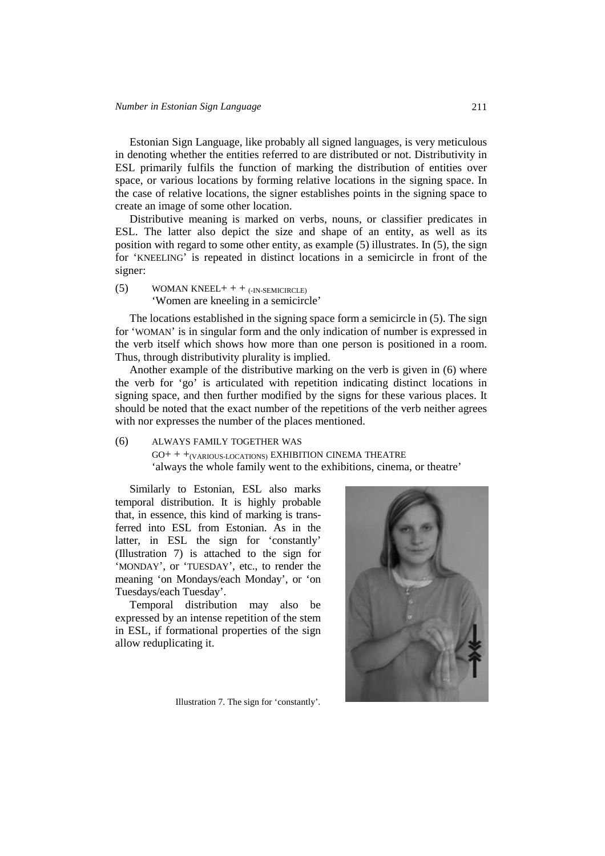Estonian Sign Language, like probably all signed languages, is very meticulous in denoting whether the entities referred to are distributed or not. Distributivity in ESL primarily fulfils the function of marking the distribution of entities over space, or various locations by forming relative locations in the signing space. In the case of relative locations, the signer establishes points in the signing space to create an image of some other location.

Distributive meaning is marked on verbs, nouns, or classifier predicates in ESL. The latter also depict the size and shape of an entity, as well as its position with regard to some other entity, as example (5) illustrates. In (5), the sign for 'KNEELING' is repeated in distinct locations in a semicircle in front of the signer:

(5) WOMAN KNEEL +  $+$   $+$   $\text{N-SEMICIRCLE)}$ 'Women are kneeling in a semicircle'

The locations established in the signing space form a semicircle in (5). The sign for 'WOMAN' is in singular form and the only indication of number is expressed in the verb itself which shows how more than one person is positioned in a room. Thus, through distributivity plurality is implied.

Another example of the distributive marking on the verb is given in (6) where the verb for 'go' is articulated with repetition indicating distinct locations in signing space, and then further modified by the signs for these various places. It should be noted that the exact number of the repetitions of the verb neither agrees with nor expresses the number of the places mentioned.

(6) ALWAYS FAMILY TOGETHER WAS GO+ + +(VARIOUS-LOCATIONS) EXHIBITION CINEMA THEATRE 'always the whole family went to the exhibitions, cinema, or theatre'

Similarly to Estonian, ESL also marks temporal distribution. It is highly probable that, in essence, this kind of marking is transferred into ESL from Estonian. As in the latter, in ESL the sign for 'constantly' (Illustration 7) is attached to the sign for 'MONDAY', or 'TUESDAY', etc., to render the meaning 'on Mondays/each Monday', or 'on Tuesdays/each Tuesday'.

Temporal distribution may also be expressed by an intense repetition of the stem in ESL, if formational properties of the sign allow reduplicating it.

Illustration 7. The sign for 'constantly'.

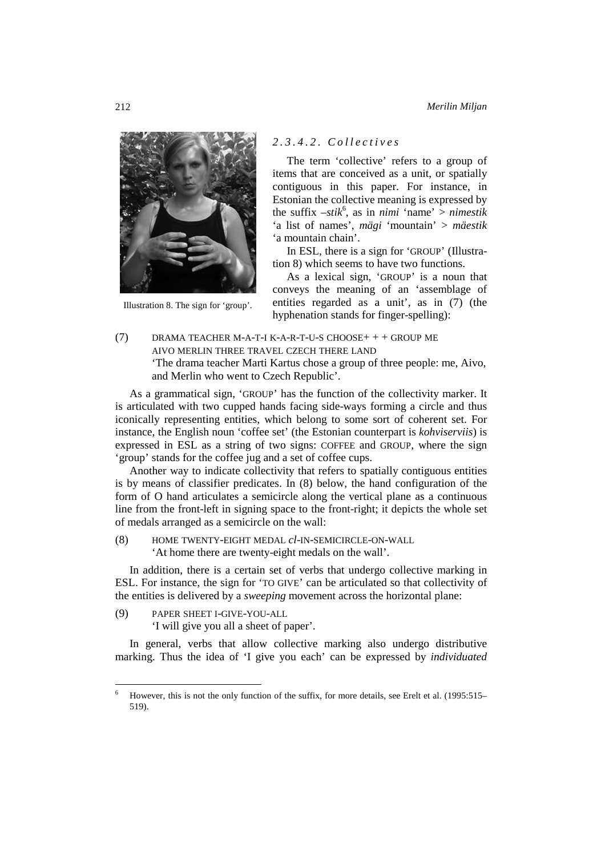

Illustration 8. The sign for 'group'.

# *2.3.4.2. Collectives*

The term 'collective' refers to a group of items that are conceived as a unit, or spatially contiguous in this paper. For instance, in Estonian the collective meaning is expressed by the suffix  $-stik^6$ , as in *nimi* 'name' > *nimestik* 'a list of names', *mägi* 'mountain' > *mäestik* 'a mountain chain'.

In ESL, there is a sign for 'GROUP' (Illustration 8) which seems to have two functions.

As a lexical sign, 'GROUP' is a noun that conveys the meaning of an 'assemblage of entities regarded as a unit', as in (7) (the hyphenation stands for finger-spelling):

(7) DRAMA TEACHER M-A-T-I K-A-R-T-U-S CHOOSE+ + + GROUP ME AIVO MERLIN THREE TRAVEL CZECH THERE LAND 'The drama teacher Marti Kartus chose a group of three people: me, Aivo, and Merlin who went to Czech Republic'.

As a grammatical sign, 'GROUP' has the function of the collectivity marker. It is articulated with two cupped hands facing side-ways forming a circle and thus iconically representing entities, which belong to some sort of coherent set. For instance, the English noun 'coffee set' (the Estonian counterpart is *kohviserviis*) is expressed in ESL as a string of two signs: COFFEE and GROUP, where the sign 'group' stands for the coffee jug and a set of coffee cups.

Another way to indicate collectivity that refers to spatially contiguous entities is by means of classifier predicates. In (8) below, the hand configuration of the form of O hand articulates a semicircle along the vertical plane as a continuous line from the front-left in signing space to the front-right; it depicts the whole set of medals arranged as a semicircle on the wall:

(8) HOME TWENTY-EIGHT MEDAL *cl*-IN-SEMICIRCLE-ON-WALL 'At home there are twenty-eight medals on the wall'.

In addition, there is a certain set of verbs that undergo collective marking in ESL. For instance, the sign for 'TO GIVE' can be articulated so that collectivity of the entities is delivered by a *sweeping* movement across the horizontal plane:

(9) PAPER SHEET I-GIVE-YOU-ALL

l

'I will give you all a sheet of paper'.

In general, verbs that allow collective marking also undergo distributive marking. Thus the idea of 'I give you each' can be expressed by *individuated* 

<sup>6</sup> However, this is not the only function of the suffix, for more details, see Erelt et al. (1995:515– 519).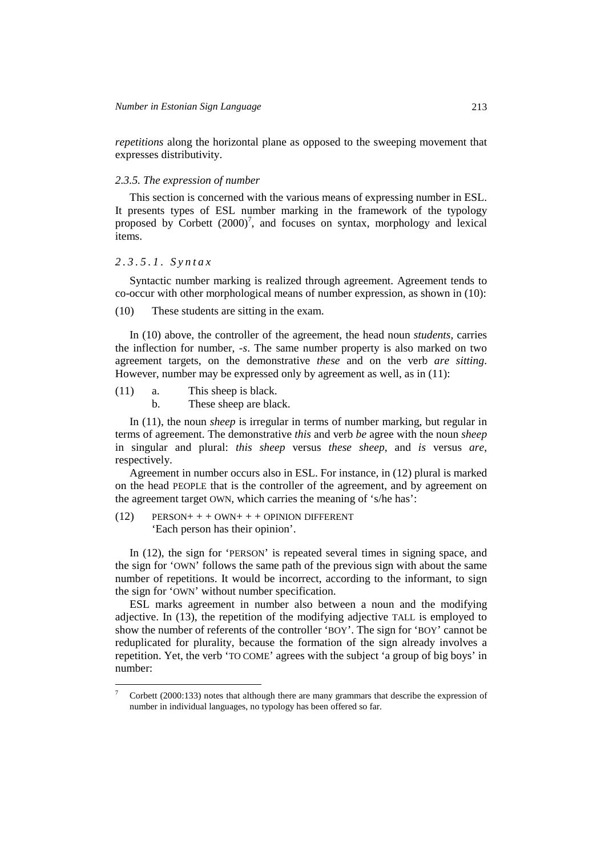*repetitions* along the horizontal plane as opposed to the sweeping movement that expresses distributivity.

# *2.3.5. The expression of number*

This section is concerned with the various means of expressing number in ESL. It presents types of ESL number marking in the framework of the typology proposed by Corbett  $(2000)^7$ , and focuses on syntax, morphology and lexical items.

# *2.3.5.1. Syntax*

l

Syntactic number marking is realized through agreement. Agreement tends to co-occur with other morphological means of number expression, as shown in (10):

(10) These students are sitting in the exam.

In (10) above, the controller of the agreement, the head noun *students,* carries the inflection for number, *-s*. The same number property is also marked on two agreement targets, on the demonstrative *these* and on the verb *are sitting*. However, number may be expressed only by agreement as well, as in (11):

(11) a. This sheep is black.

b. These sheep are black.

In (11), the noun *sheep* is irregular in terms of number marking, but regular in terms of agreement. The demonstrative *this* and verb *be* agree with the noun *sheep* in singular and plural: *this sheep* versus *these sheep*, and *is* versus *are*, respectively.

Agreement in number occurs also in ESL. For instance, in (12) plural is marked on the head PEOPLE that is the controller of the agreement, and by agreement on the agreement target OWN, which carries the meaning of 's/he has':

 $(12)$  PERSON+ + + OWN+ + + OPINION DIFFERENT 'Each person has their opinion'.

In (12), the sign for 'PERSON' is repeated several times in signing space, and the sign for 'OWN' follows the same path of the previous sign with about the same number of repetitions. It would be incorrect, according to the informant, to sign the sign for 'OWN' without number specification.

ESL marks agreement in number also between a noun and the modifying adjective. In (13), the repetition of the modifying adjective TALL is employed to show the number of referents of the controller 'BOY'. The sign for 'BOY' cannot be reduplicated for plurality, because the formation of the sign already involves a repetition. Yet, the verb 'TO COME' agrees with the subject 'a group of big boys' in number:

<sup>7</sup> Corbett (2000:133) notes that although there are many grammars that describe the expression of number in individual languages, no typology has been offered so far.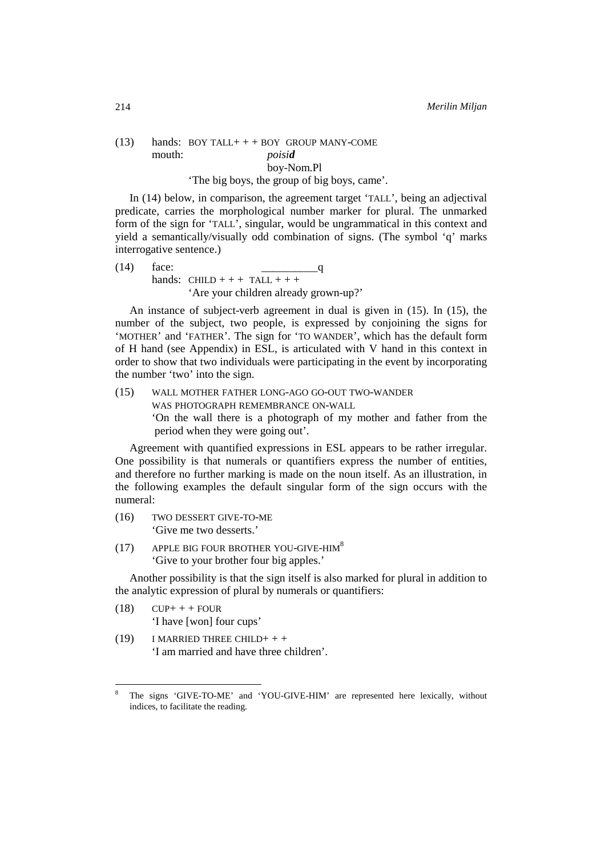# $(13)$  hands: BOY TALL + + + BOY GROUP MANY-COME mouth: *poisid* boy-Nom.Pl 'The big boys, the group of big boys, came'.

In (14) below, in comparison, the agreement target 'TALL', being an adjectival predicate, carries the morphological number marker for plural. The unmarked form of the sign for 'TALL', singular, would be ungrammatical in this context and yield a semantically/visually odd combination of signs. (The symbol 'q' marks interrogative sentence.)

 $(14)$  face:  $q$ hands: CHILD + + + TALL + + + 'Are your children already grown-up?'

An instance of subject-verb agreement in dual is given in (15). In (15), the number of the subject, two people, is expressed by conjoining the signs for 'MOTHER' and 'FATHER'. The sign for 'TO WANDER', which has the default form of H hand (see Appendix) in ESL, is articulated with V hand in this context in order to show that two individuals were participating in the event by incorporating the number 'two' into the sign.

(15) WALL MOTHER FATHER LONG-AGO GO-OUT TWO-WANDER WAS PHOTOGRAPH REMEMBRANCE ON-WALL 'On the wall there is a photograph of my mother and father from the period when they were going out'.

Agreement with quantified expressions in ESL appears to be rather irregular. One possibility is that numerals or quantifiers express the number of entities, and therefore no further marking is made on the noun itself. As an illustration, in the following examples the default singular form of the sign occurs with the numeral:

(16) TWO DESSERT GIVE-TO-ME 'Give me two desserts.'

(17) APPLE BIG FOUR BROTHER YOU-GIVE-HIM<sup>8</sup> 'Give to your brother four big apples.'

Another possibility is that the sign itself is also marked for plural in addition to the analytic expression of plural by numerals or quantifiers:

 $(18)$  CUP+ + + FOUR 'I have [won] four cups'

l

 $(19)$  I MARRIED THREE CHILD+ + + 'I am married and have three children'.

<sup>8</sup> The signs 'GIVE-TO-ME' and 'YOU-GIVE-HIM' are represented here lexically, without indices, to facilitate the reading.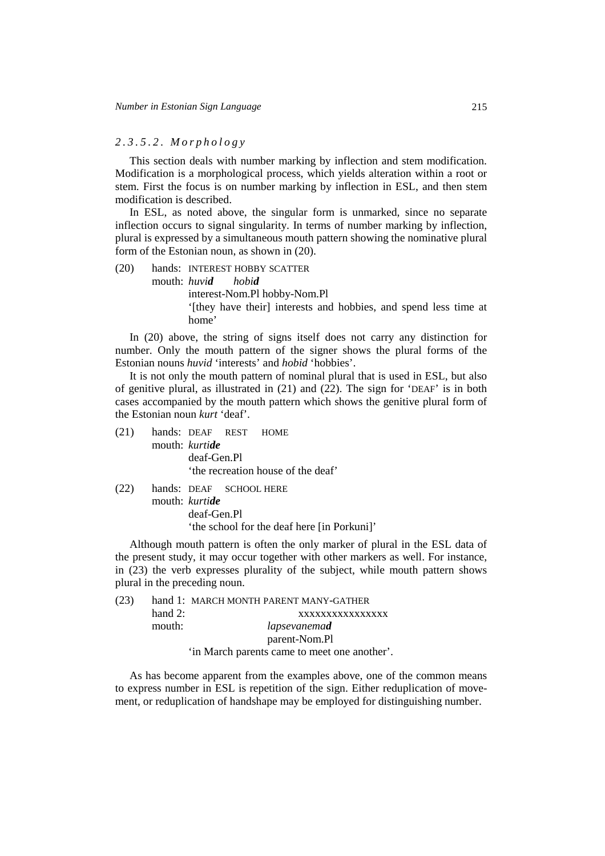### *2.3.5.2. Morphology*

This section deals with number marking by inflection and stem modification. Modification is a morphological process, which yields alteration within a root or stem. First the focus is on number marking by inflection in ESL, and then stem modification is described.

In ESL, as noted above, the singular form is unmarked, since no separate inflection occurs to signal singularity. In terms of number marking by inflection, plural is expressed by a simultaneous mouth pattern showing the nominative plural form of the Estonian noun, as shown in (20).

(20) hands: INTEREST HOBBY SCATTER mouth: *huvid hobid* interest-Nom.Pl hobby-Nom.Pl '[they have their] interests and hobbies, and spend less time at home'

In (20) above, the string of signs itself does not carry any distinction for number. Only the mouth pattern of the signer shows the plural forms of the Estonian nouns *huvid* 'interests' and *hobid* 'hobbies'.

It is not only the mouth pattern of nominal plural that is used in ESL, but also of genitive plural, as illustrated in (21) and (22). The sign for 'DEAF' is in both cases accompanied by the mouth pattern which shows the genitive plural form of the Estonian noun *kurt* 'deaf'.

(21) hands: DEAF REST HOME mouth: *kurtide* deaf-Gen.Pl 'the recreation house of the deaf'

(22) hands: DEAF SCHOOL HERE

mouth: *kurtide* deaf-Gen.Pl 'the school for the deaf here [in Porkuni]'

Although mouth pattern is often the only marker of plural in the ESL data of the present study, it may occur together with other markers as well. For instance, in (23) the verb expresses plurality of the subject, while mouth pattern shows plural in the preceding noun.

| (23) |           | hand 1: MARCH MONTH PARENT MANY-GATHER       |
|------|-----------|----------------------------------------------|
|      | hand $2:$ | XXXXXXXXXXXXXXX                              |
|      | mouth:    | lapsevanemad                                 |
|      |           | parent-Nom.Pl                                |
|      |           | 'in March parents came to meet one another'. |

As has become apparent from the examples above, one of the common means to express number in ESL is repetition of the sign. Either reduplication of movement, or reduplication of handshape may be employed for distinguishing number.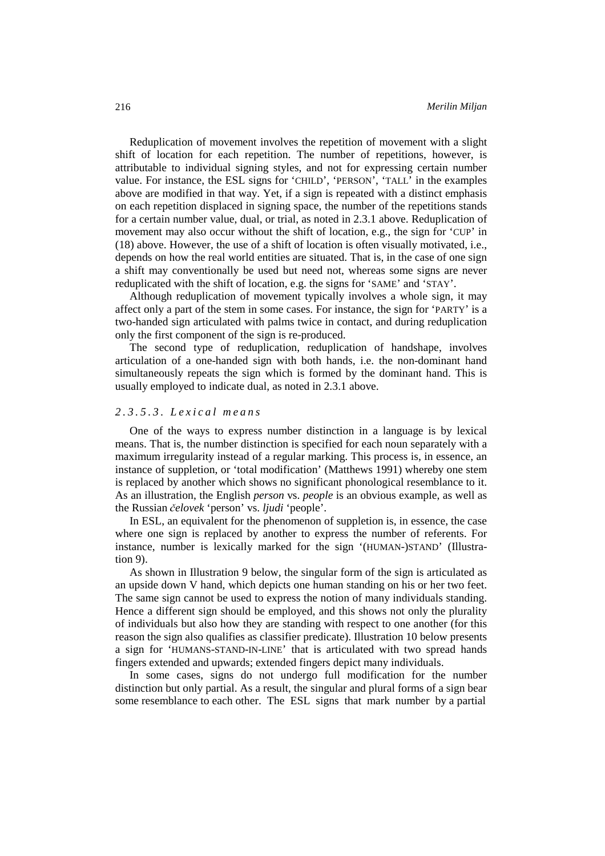Reduplication of movement involves the repetition of movement with a slight shift of location for each repetition. The number of repetitions, however, is attributable to individual signing styles, and not for expressing certain number value. For instance, the ESL signs for 'CHILD', 'PERSON', 'TALL' in the examples above are modified in that way. Yet, if a sign is repeated with a distinct emphasis on each repetition displaced in signing space, the number of the repetitions stands for a certain number value, dual, or trial, as noted in 2.3.1 above. Reduplication of movement may also occur without the shift of location, e.g., the sign for 'CUP' in (18) above. However, the use of a shift of location is often visually motivated, i.e., depends on how the real world entities are situated. That is, in the case of one sign a shift may conventionally be used but need not, whereas some signs are never reduplicated with the shift of location, e.g. the signs for 'SAME' and 'STAY'.

Although reduplication of movement typically involves a whole sign, it may affect only a part of the stem in some cases. For instance, the sign for 'PARTY' is a two-handed sign articulated with palms twice in contact, and during reduplication only the first component of the sign is re-produced.

The second type of reduplication, reduplication of handshape, involves articulation of a one-handed sign with both hands, i.e. the non-dominant hand simultaneously repeats the sign which is formed by the dominant hand. This is usually employed to indicate dual, as noted in 2.3.1 above.

# *2.3.5.3. Lexical means*

One of the ways to express number distinction in a language is by lexical means. That is, the number distinction is specified for each noun separately with a maximum irregularity instead of a regular marking. This process is, in essence, an instance of suppletion, or 'total modification' (Matthews 1991) whereby one stem is replaced by another which shows no significant phonological resemblance to it. As an illustration, the English *person* vs. *people* is an obvious example, as well as the Russian č*elovek* 'person' vs. *ljudi* 'people'.

In ESL, an equivalent for the phenomenon of suppletion is, in essence, the case where one sign is replaced by another to express the number of referents. For instance, number is lexically marked for the sign '(HUMAN-)STAND' (Illustration 9).

As shown in Illustration 9 below, the singular form of the sign is articulated as an upside down V hand, which depicts one human standing on his or her two feet. The same sign cannot be used to express the notion of many individuals standing. Hence a different sign should be employed, and this shows not only the plurality of individuals but also how they are standing with respect to one another (for this reason the sign also qualifies as classifier predicate). Illustration 10 below presents a sign for 'HUMANS-STAND-IN-LINE' that is articulated with two spread hands fingers extended and upwards; extended fingers depict many individuals.

In some cases, signs do not undergo full modification for the number distinction but only partial. As a result, the singular and plural forms of a sign bear some resemblance to each other. The ESL signs that mark number by a partial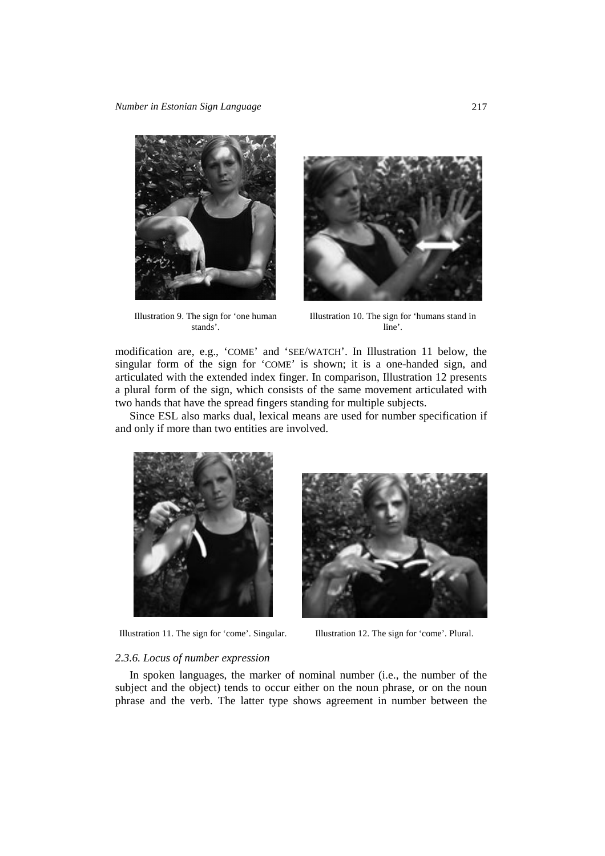

Illustration 9. The sign for 'one human stands'.



Illustration 10. The sign for 'humans stand in line'.

modification are, e.g., 'COME' and 'SEE/WATCH'. In Illustration 11 below, the singular form of the sign for 'COME' is shown; it is a one-handed sign, and articulated with the extended index finger. In comparison, Illustration 12 presents a plural form of the sign, which consists of the same movement articulated with two hands that have the spread fingers standing for multiple subjects.

Since ESL also marks dual, lexical means are used for number specification if and only if more than two entities are involved.



Illustration 11. The sign for 'come'. Singular. Illustration 12. The sign for 'come'. Plural.



#### *2.3.6. Locus of number expression*

In spoken languages, the marker of nominal number (i.e., the number of the subject and the object) tends to occur either on the noun phrase, or on the noun phrase and the verb. The latter type shows agreement in number between the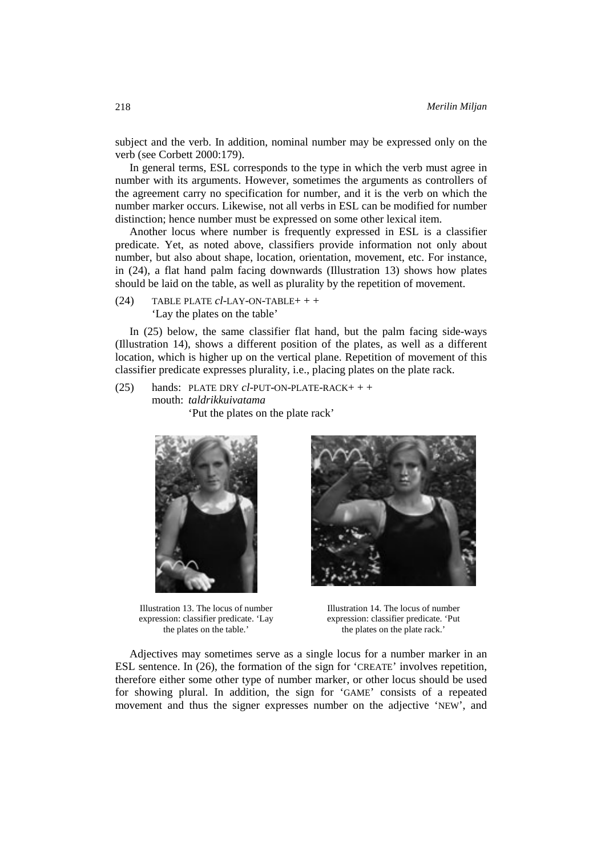subject and the verb. In addition, nominal number may be expressed only on the verb (see Corbett 2000:179).

In general terms, ESL corresponds to the type in which the verb must agree in number with its arguments. However, sometimes the arguments as controllers of the agreement carry no specification for number, and it is the verb on which the number marker occurs. Likewise, not all verbs in ESL can be modified for number distinction; hence number must be expressed on some other lexical item.

Another locus where number is frequently expressed in ESL is a classifier predicate. Yet, as noted above, classifiers provide information not only about number, but also about shape, location, orientation, movement, etc. For instance, in (24), a flat hand palm facing downwards (Illustration 13) shows how plates should be laid on the table, as well as plurality by the repetition of movement.

(24) TABLE PLATE *cl*-LAY-ON-TABLE+ + + 'Lay the plates on the table'

In (25) below, the same classifier flat hand, but the palm facing side-ways (Illustration 14), shows a different position of the plates, as well as a different location, which is higher up on the vertical plane. Repetition of movement of this classifier predicate expresses plurality, i.e., placing plates on the plate rack.

(25) hands: PLATE DRY *cl*-PUT-ON-PLATE-RACK+ + + mouth: *taldrikkuivatama* 'Put the plates on the plate rack'



Illustration 13. The locus of number expression: classifier predicate. 'Lay the plates on the table.'



Illustration 14. The locus of number expression: classifier predicate. 'Put the plates on the plate rack.'

Adjectives may sometimes serve as a single locus for a number marker in an ESL sentence. In (26), the formation of the sign for 'CREATE' involves repetition, therefore either some other type of number marker, or other locus should be used for showing plural. In addition, the sign for 'GAME' consists of a repeated movement and thus the signer expresses number on the adjective 'NEW', and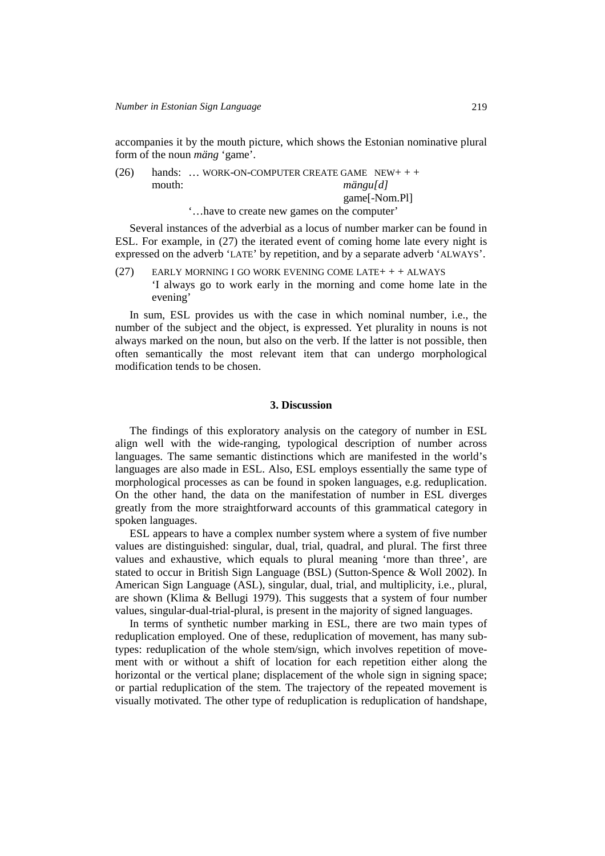accompanies it by the mouth picture, which shows the Estonian nominative plural form of the noun *mäng* 'game'.

| (26) |        | hands:  WORK-ON-COMPUTER CREATE GAME $NEW++$ |
|------|--------|----------------------------------------------|
|      | mouth: | mängu[d]                                     |
|      |        | game[-Nom.Pl]                                |
|      |        | have to create new games on the computer'    |

Several instances of the adverbial as a locus of number marker can be found in ESL. For example, in (27) the iterated event of coming home late every night is expressed on the adverb 'LATE' by repetition, and by a separate adverb 'ALWAYS'.

(27) EARLY MORNING I GO WORK EVENING COME LATE+ + + ALWAYS 'I always go to work early in the morning and come home late in the evening'

In sum, ESL provides us with the case in which nominal number, i.e., the number of the subject and the object, is expressed. Yet plurality in nouns is not always marked on the noun, but also on the verb. If the latter is not possible, then often semantically the most relevant item that can undergo morphological modification tends to be chosen.

### **3. Discussion**

The findings of this exploratory analysis on the category of number in ESL align well with the wide-ranging, typological description of number across languages. The same semantic distinctions which are manifested in the world's languages are also made in ESL. Also, ESL employs essentially the same type of morphological processes as can be found in spoken languages, e.g. reduplication. On the other hand, the data on the manifestation of number in ESL diverges greatly from the more straightforward accounts of this grammatical category in spoken languages.

ESL appears to have a complex number system where a system of five number values are distinguished: singular, dual, trial, quadral, and plural. The first three values and exhaustive, which equals to plural meaning 'more than three', are stated to occur in British Sign Language (BSL) (Sutton-Spence & Woll 2002). In American Sign Language (ASL), singular, dual, trial, and multiplicity, i.e., plural, are shown (Klima & Bellugi 1979). This suggests that a system of four number values, singular-dual-trial-plural, is present in the majority of signed languages.

In terms of synthetic number marking in ESL, there are two main types of reduplication employed. One of these, reduplication of movement, has many subtypes: reduplication of the whole stem/sign, which involves repetition of movement with or without a shift of location for each repetition either along the horizontal or the vertical plane; displacement of the whole sign in signing space; or partial reduplication of the stem. The trajectory of the repeated movement is visually motivated. The other type of reduplication is reduplication of handshape,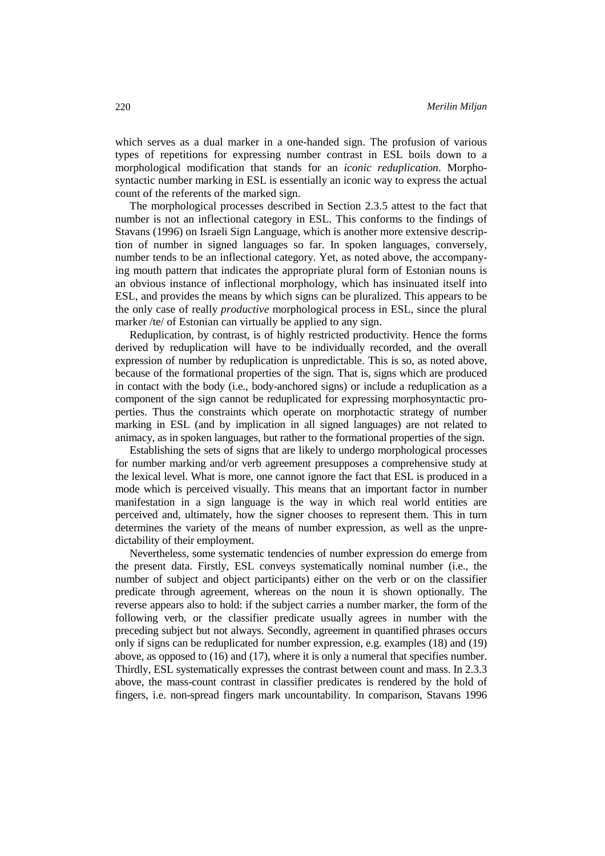which serves as a dual marker in a one-handed sign. The profusion of various types of repetitions for expressing number contrast in ESL boils down to a morphological modification that stands for an *iconic reduplication*. Morphosyntactic number marking in ESL is essentially an iconic way to express the actual count of the referents of the marked sign.

The morphological processes described in Section 2.3.5 attest to the fact that number is not an inflectional category in ESL. This conforms to the findings of Stavans (1996) on Israeli Sign Language, which is another more extensive description of number in signed languages so far. In spoken languages, conversely, number tends to be an inflectional category. Yet, as noted above, the accompanying mouth pattern that indicates the appropriate plural form of Estonian nouns is an obvious instance of inflectional morphology, which has insinuated itself into ESL, and provides the means by which signs can be pluralized. This appears to be the only case of really *productive* morphological process in ESL, since the plural marker /te/ of Estonian can virtually be applied to any sign.

Reduplication, by contrast, is of highly restricted productivity. Hence the forms derived by reduplication will have to be individually recorded, and the overall expression of number by reduplication is unpredictable. This is so, as noted above, because of the formational properties of the sign. That is, signs which are produced in contact with the body (i.e., body-anchored signs) or include a reduplication as a component of the sign cannot be reduplicated for expressing morphosyntactic properties. Thus the constraints which operate on morphotactic strategy of number marking in ESL (and by implication in all signed languages) are not related to animacy, as in spoken languages, but rather to the formational properties of the sign.

Establishing the sets of signs that are likely to undergo morphological processes for number marking and/or verb agreement presupposes a comprehensive study at the lexical level. What is more, one cannot ignore the fact that ESL is produced in a mode which is perceived visually. This means that an important factor in number manifestation in a sign language is the way in which real world entities are perceived and, ultimately, how the signer chooses to represent them. This in turn determines the variety of the means of number expression, as well as the unpredictability of their employment.

Nevertheless, some systematic tendencies of number expression do emerge from the present data. Firstly, ESL conveys systematically nominal number (i.e., the number of subject and object participants) either on the verb or on the classifier predicate through agreement, whereas on the noun it is shown optionally. The reverse appears also to hold: if the subject carries a number marker, the form of the following verb, or the classifier predicate usually agrees in number with the preceding subject but not always. Secondly, agreement in quantified phrases occurs only if signs can be reduplicated for number expression, e.g. examples (18) and (19) above, as opposed to (16) and (17), where it is only a numeral that specifies number. Thirdly, ESL systematically expresses the contrast between count and mass. In 2.3.3 above, the mass-count contrast in classifier predicates is rendered by the hold of fingers, i.e. non-spread fingers mark uncountability. In comparison, Stavans 1996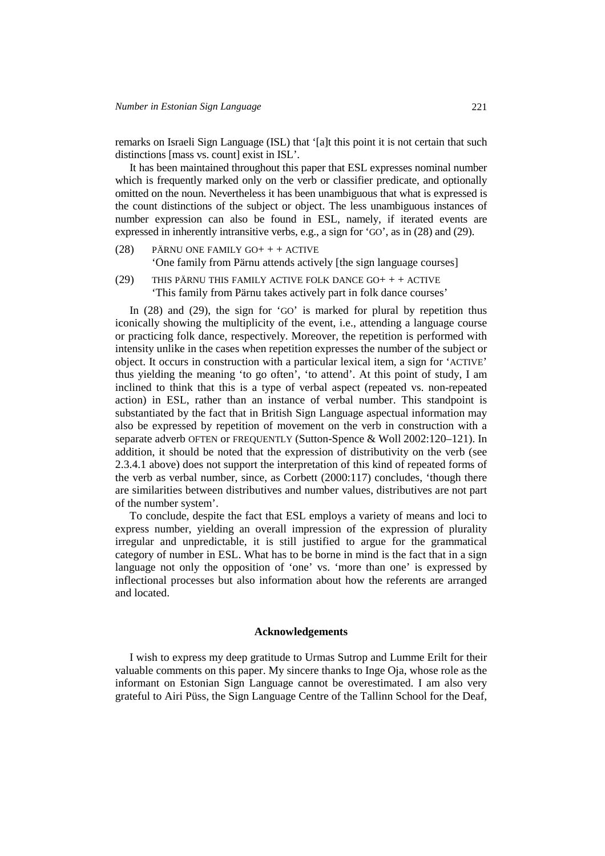remarks on Israeli Sign Language (ISL) that '[a]t this point it is not certain that such distinctions [mass vs. count] exist in ISL'.

It has been maintained throughout this paper that ESL expresses nominal number which is frequently marked only on the verb or classifier predicate, and optionally omitted on the noun. Nevertheless it has been unambiguous that what is expressed is the count distinctions of the subject or object. The less unambiguous instances of number expression can also be found in ESL, namely, if iterated events are expressed in inherently intransitive verbs, e.g., a sign for 'GO', as in (28) and (29).

- (28) PÄRNU ONE FAMILY GO+ + + ACTIVE 'One family from Pärnu attends actively [the sign language courses]
- (29) THIS PÄRNU THIS FAMILY ACTIVE FOLK DANCE GO+ + + ACTIVE 'This family from Pärnu takes actively part in folk dance courses'

In (28) and (29), the sign for 'GO' is marked for plural by repetition thus iconically showing the multiplicity of the event, i.e., attending a language course or practicing folk dance, respectively. Moreover, the repetition is performed with intensity unlike in the cases when repetition expresses the number of the subject or object. It occurs in construction with a particular lexical item, a sign for 'ACTIVE' thus yielding the meaning 'to go often', 'to attend'. At this point of study, I am inclined to think that this is a type of verbal aspect (repeated vs. non-repeated action) in ESL, rather than an instance of verbal number. This standpoint is substantiated by the fact that in British Sign Language aspectual information may also be expressed by repetition of movement on the verb in construction with a separate adverb OFTEN or FREQUENTLY (Sutton-Spence & Woll 2002:120–121). In addition, it should be noted that the expression of distributivity on the verb (see 2.3.4.1 above) does not support the interpretation of this kind of repeated forms of the verb as verbal number, since, as Corbett (2000:117) concludes, 'though there are similarities between distributives and number values, distributives are not part of the number system'.

To conclude, despite the fact that ESL employs a variety of means and loci to express number, yielding an overall impression of the expression of plurality irregular and unpredictable, it is still justified to argue for the grammatical category of number in ESL. What has to be borne in mind is the fact that in a sign language not only the opposition of 'one' vs. 'more than one' is expressed by inflectional processes but also information about how the referents are arranged and located.

# **Acknowledgements**

I wish to express my deep gratitude to Urmas Sutrop and Lumme Erilt for their valuable comments on this paper. My sincere thanks to Inge Oja, whose role as the informant on Estonian Sign Language cannot be overestimated. I am also very grateful to Airi Püss, the Sign Language Centre of the Tallinn School for the Deaf,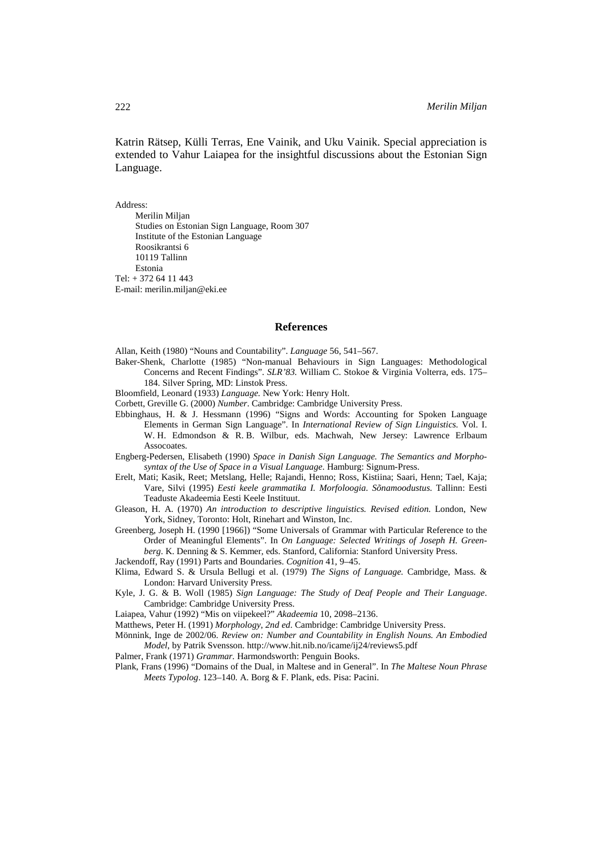Katrin Rätsep, Külli Terras, Ene Vainik, and Uku Vainik. Special appreciation is extended to Vahur Laiapea for the insightful discussions about the Estonian Sign Language.

Address:

Merilin Miljan Studies on Estonian Sign Language, Room 307 Institute of the Estonian Language Roosikrantsi 6 10119 Tallinn Estonia Tel: + 372 64 11 443 E-mail: merilin.miljan@eki.ee

#### **References**

Allan, Keith (1980) "Nouns and Countability". *Language* 56, 541–567.

- Baker-Shenk, Charlotte (1985) "Non-manual Behaviours in Sign Languages: Methodological Concerns and Recent Findings". *SLR'83.* William C. Stokoe & Virginia Volterra, eds. 175– 184. Silver Spring, MD: Linstok Press.
- Bloomfield, Leonard (1933) *Language.* New York: Henry Holt.
- Corbett, Greville G. (2000) *Number*. Cambridge: Cambridge University Press.
- Ebbinghaus, H. & J. Hessmann (1996) "Signs and Words: Accounting for Spoken Language Elements in German Sign Language". In *International Review of Sign Linguistics.* Vol. I. W. H. Edmondson & R. B. Wilbur, eds. Machwah, New Jersey: Lawrence Erlbaum **Assocoates**
- Engberg-Pedersen, Elisabeth (1990) *Space in Danish Sign Language. The Semantics and Morphosyntax of the Use of Space in a Visual Language*. Hamburg: Signum-Press.
- Erelt, Mati; Kasik, Reet; Metslang, Helle; Rajandi, Henno; Ross, Kistiina; Saari, Henn; Tael, Kaja; Vare, Silvi (1995) *Eesti keele grammatika I. Morfoloogia. Sõnamoodustus.* Tallinn: Eesti Teaduste Akadeemia Eesti Keele Instituut.
- Gleason, H. A. (1970) *An introduction to descriptive linguistics. Revised edition.* London, New York, Sidney, Toronto: Holt, Rinehart and Winston, Inc.
- Greenberg, Joseph H. (1990 [1966]) "Some Universals of Grammar with Particular Reference to the Order of Meaningful Elements". In *On Language: Selected Writings of Joseph H. Greenberg*. K. Denning & S. Kemmer, eds. Stanford, California: Stanford University Press.
- Jackendoff, Ray (1991) Parts and Boundaries. *Cognition* 41, 9–45.
- Klima, Edward S. & Ursula Bellugi et al. (1979) *The Signs of Language.* Cambridge, Mass. & London: Harvard University Press.
- Kyle, J. G. & B. Woll (1985) *Sign Language: The Study of Deaf People and Their Language*. Cambridge: Cambridge University Press.
- Laiapea, Vahur (1992) "Mis on viipekeel?" *Akadeemia* 10, 2098–2136.
- Matthews, Peter H. (1991) *Morphology*, *2nd ed*. Cambridge: Cambridge University Press.
- Mönnink, Inge de 2002/06. *Review on: Number and Countability in English Nouns. An Embodied Model*, by Patrik Svensson. http://www.hit.nib.no/icame/ij24/reviews5.pdf

Palmer, Frank (1971) *Grammar.* Harmondsworth: Penguin Books.

Plank, Frans (1996) "Domains of the Dual, in Maltese and in General". In *The Maltese Noun Phrase Meets Typolog*. 123–140*.* A. Borg & F. Plank, eds. Pisa: Pacini.